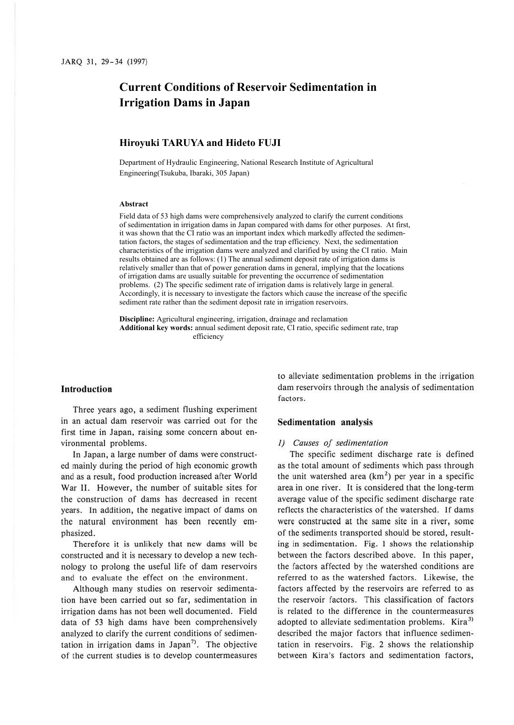# **Current Conditions of Reservoir Sedimentation in Irrigation Dams in Japan**

## **Hiroyuki TARUYA and Hideto FUJI**

Department of Hydraulic Engineering, National Research Institute of Agricultural Engineering(Tsukuba, Ibaraki, 305 Japan)

## **Abstract**

Field data of 53 high dams were comprehensively analyzed to clarify the current conditions of sedimentation in irrigation dams in Japan compared with dams for other purposes. At first, it was shown that the CI ratio was an important index which markedly affected the sedimentation factors, the stages of sedimentation and the trap efficiency. Next, the sedimentation characteristics of the irrigation dams were analyzed and clarified by using the CI ratio. Main results obtained are as follows: (1) The annual sediment deposit rate of irrigation dams is relatively smaller than that of power generation dams in general, implying that the locations of irrigation dams are usually suitable for preventing the occurrence of sedimentation problems. (2) The specific sediment rate of irrigation dams is relatively large in general. Accordingly, it is necessary to investigate the factors which cause the increase of the specific sediment rate rather than the sediment deposit rate in irrigation reservoirs.

**Discipline:** Agricultural engineering, irrigation, drainage and reclamation **Additional key words:** annual sediment deposit rate, CI ratio, specific sediment rate, trap efficiency

#### **Introduction**

Three years ago, a sediment flushing experiment in an actual dam reservoir was carried out for the first time in Japan, raising some concern about environmental problems.

In Japan, a large number of dams were constructed mainly during the period of high economic growth and as a result, food production increased after World War II. However, the number of suitable sites for the construction of dams has decreased in recent years. In addition, the negative impact of dams on the natural environment has been recently emphasized.

Therefore it is unlikely that new dams will be constructed and it is necessary to develop a new technology to prolong the useful life of dam reservoirs and to evaluate the effect on the environment.

Although many studies on reservoir sedimentation have been carried out so far, sedimentation in irrigation dams has not been well documented. Field data of 53 high dams have been comprehensively analyzed to clarify the current conditions of sedimentation in irrigation dams in Japan<sup>7</sup>. The objective of the current studies is to develop countermeasures

to alleviate sedimentation problems in the irrigation dam reservoirs through the analysis of sedimentation factors.

## **Sedimentation analysis**

## *I) Causes of sedimentation*

The specific sediment discharge rate is defined as the total amount of sediments which pass through the unit watershed area  $(km<sup>2</sup>)$  per year in a specific area in one river. It is considered that the long-term average value of the specific sediment discharge rate reflects the characteristics of the watershed. If dams were constructed at the same site in a river, some of the sediments transported should be stored, resulting in sedimentation. Fig. I shows the relationship between the factors described above. In this paper, the factors affected by the watershed conditions are referred to as the watershed factors. Likewise, the factors affected by the reservoirs are referred to as the reservoir factors. This classification of factors is related to the difference in the countermeasures adopted to alleviate sedimentation problems. Kira<sup>3)</sup> described the major factors that influence sedimentation in reservoirs. Fig. 2 shows the relationship between Kira's factors and sedimentation factors,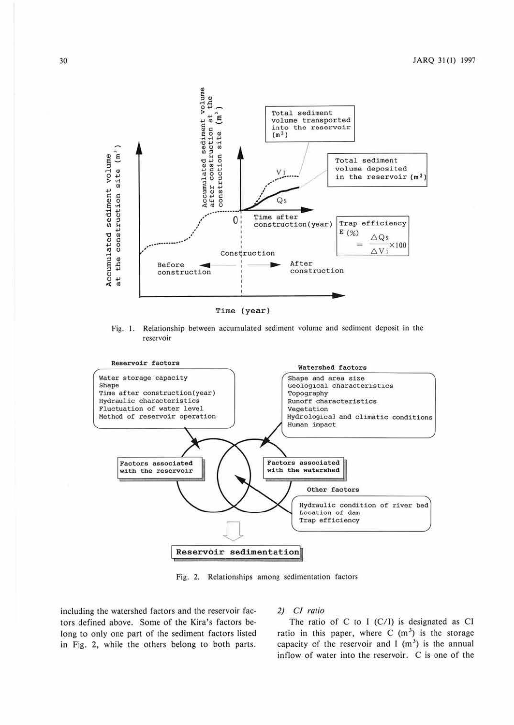

Fig. I. Relationship between accumulated sediment volume and sediment deposit in the reservoir



Fig. 2. Relationships among sedimentation factors

including the watershed factors and the reservoir factors defined above. Some of the Kira's factors belong to only one part of the sediment factors listed in Fig. 2, while the others belong to both parts.

## *2) Cl ratio*

The ratio of C to I (C/I) is designated as CI ratio in this paper, where C  $(m<sup>3</sup>)$  is the storage capacity of the reservoir and I  $(m<sup>3</sup>)$  is the annual inflow of water into the reservoir. C is one of the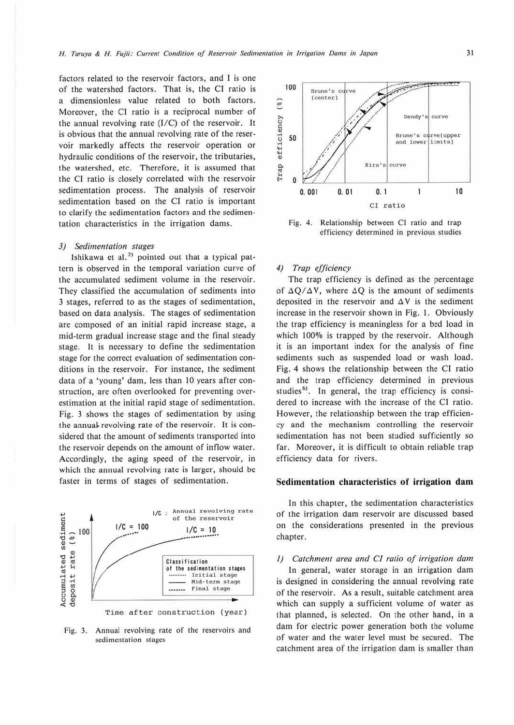factors related to the reservoir factors, and I is one of the watershed factors. That is, the Cl ratio is a dimensionless value related to both factors. Moreover, the Cl ratio is a reciprocal number of the annual revolving rate  $(I/C)$  of the reservoir. It is obvious that the annual revolving rate of the reservoir markedly affects the reservoir operation or hydraulic conditions of the reservoir, the tributaries, the watershed, etc. Therefore, it is assumed that the Cl ratio is closely correlated with the reservoir sedimentation process. The analysis of reservoir sedimentation based on the Cl ratio is important to clarify the sedimentation factors and the sedimentation characteristics in the irrigation dams.

#### *3) Sedimentation stages*

Ishikawa et al.<sup>2)</sup> pointed out that a typical pattern is observed in the temporal variation curve of the accumulated sediment volume in the reservoir. They classified the accumulation of sediments into 3 stages, referred to as the stages of sedimentation, based on data analysis. The stages of sedimentation arc composed of an initial rapid increase stage, a mid-term gradual increase stage and the final steady stage. It is necessary to define the sedimentation stage for the correct evaluation of sedimentation conditions in the reservoir. For instance, the sediment data of a 'young' dam, less than 10 years after construction, are often overlooked for preventing overestimation at the initial rapid stage of sedimentation. Fig. 3 shows the stages of sedimentation by using the annual-revolving rate of the reservoir. It is considered that the amount of sediments transported into the reservoir depends on the amount of inflow water. Accordingly, the aging speed of the reservoir, in which the annual revolving rate is larger, should be faster in terms of stages of sedimentation.



Fig. 3. Annual revolving rate of the reservoirs and sedimentation stages



Fig. 4. Relationship between Cl ratio and trap efficiency determined in previous studies

#### *4) Trap efficiency*

The trap efficiency is defined as the percentage of  $\Delta Q/\Delta V$ , where  $\Delta Q$  is the amount of sediments deposited in the reservoir and  $\Delta V$  is the sediment increase in the reservoir shown in Fig. I. Obviously the trap efficiency is meaningless for a bed load in which 100% is trapped by the reservoir. Although it is an important index for the analysis of fine sediments such as suspended load or wash load. Fig. 4 shows the relationship between the CI ratio and the trap efficiency determined in previous studies<sup>6</sup>. In general, the trap efficiency is considered to increase with the increase of the Cl ratio. However, the relationship between the trap efficiency and the mechanism comrolling the reservoir sedimentation has not been studied sufficiently so far. Moreover, it is difficult to obtain reliable trap efficiency data for rivers.

## **Sedimentation characteristics of irrigation dam**

In this chapter, the sedimentation characteristics of the irrigation dam reservoir are discussed based on the considerations presented in the previous chapter.

*<i>(1)* Catchment area and CI ratio of irrigation dam In general, water storage in an irrigation dam is designed in considering the annual revolving rate of the reservoir. As a result, suitable catchment area which can supply a sufficient volume of water as that planned, is selected. On the other hand, in a dam for electric power generation both the volume of water and the water level must be secured. The catchment area of the irrigation dam is smaller than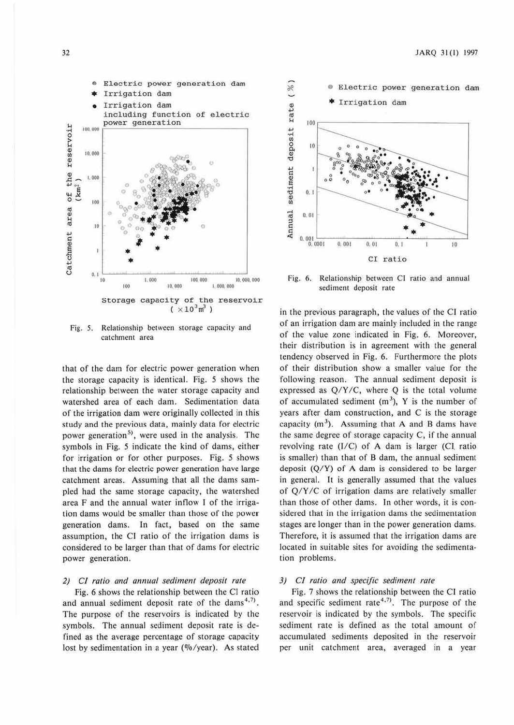

Fig. 5. Relationship between storage capacity and catchment area

that of the dam for electric power generation when the storage capacity is identical. Fig. *5* shows the relationship between the water storage capacity and watershed area of each dam. Sedimentation data of the irrigation dam were originally collected in this study and the previous data, mainly data for electric power generation<sup>5)</sup>, were used in the analysis. The symbols in Fig. 5 indicate the kind of dams, either for irrigation or for other purposes. Fig. *5* shows that the dams for electric power generation have large catchment areas. Assuming that all the dams sampled had the same storage capacity, the watershed area  $F$  and the annual water inflow I of the irrigation dams would be smaller than those of the power generation dams. In fact, based on the same assumption, the CI ratio of the irrigation dams is considered to be larger than that of dams for electric power generation.

# *2) Cl ratio and annual sediment deposit rate*

Fig. 6 shows the relationship between the CJ ratio and annual sediment deposit rate of the dams<sup>4,7)</sup>. The purpose of the reservoirs is indicated by the symbols. The annual sediment deposit rate is defined as the average percentage of storage capacity lost by sedimentation in a year ( $\%$ /year). As stated



Fig. 6. Relationship between CI ratio and annual sediment deposit rate

in the previous paragraph, the values of the CJ ratio of an irrigation dam are mainly included in the range of the value zone indicated in Fig. 6. Moreover, their distribution is in agreement with the general tendency observed in Fig. 6. Furthermore the plots of their distribution show a smaller value for the following reason. The annual sediment deposit is expressed as  $Q/Y/C$ , where  $Q$  is the total volume of accumulated sediment  $(m<sup>3</sup>)$ , Y is the number of years after dam construction, and C is the storage capacity  $(m<sup>3</sup>)$ . Assuming that A and B dams have the same degree of storage capacity C, if the annual revolving rate (1/C) of **A** dam is larger (Cl. ratio is smaller) than that of B dam, the annual sediment deposit  $(Q/Y)$  of A dam is considered to be larger in general. It is generally assumed that the values of Q/Y *IC* of irrigation dams are relatively smaller than those of other dams. ln other words, it is considered that in the irrigation dams the sedimentation stages are longer than in the power generation dams. Therefore, it is assumed that the irrigation dams are located in suitable sites for avoiding the sedimentation problems.

#### *3) CI ratio and specific sediment rate*

Fig. 7 shows the relationship between the Cl ratio and specific sediment rate<sup>4,7)</sup>. The purpose of the reservoir is indicated by the symbols. The specific sediment rate is defined as the total amount of accumulated sediments deposited in the reservoir per unit catchment area, averaged in a year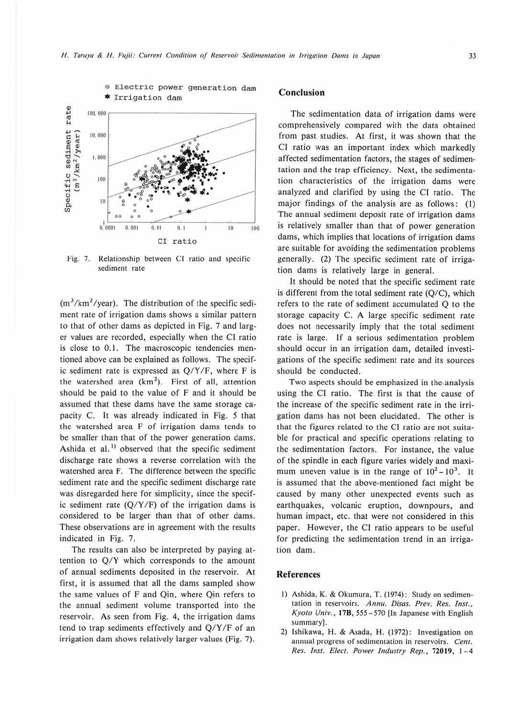

Fig. 7. Relationship between CI ratio and specific sediment rate

 $(m<sup>3</sup>/km<sup>2</sup>/year)$ . The distribution of the specific sediment rate of irrigation dams shows a similar pattern to that of other dams as depicted in Fig. 7 and larger values are recorded, especially when the Cl ratio is close to 0.1. The macroscopic tendencies mentioned above can be explained as follows. The specific sediment rate is expressed as Q/Y /F, where F is the watershed area  $(km^2)$ . First of all, attention should be paid to the value of F and *it* should be assumed that these dams have the same storage capacity C. It was already indicated in Fig. *5* that the watershed area F of irrigation dams tends <sup>10</sup> be smaller than that of the power generation dams. Ashida et al.<sup>1)</sup> observed that the specific sediment discharge rate shows a reverse correlation with the watershed area F. The difference between the specific sediment rate and the specific sediment discharge rate was disregarded here for simplicity, since the specific sediment rate **(Q/Y** /F) of the irrigation dams is considered to be larger than that of other dams. These observations are in agreement with the results indicated in Fig. 7.

The results can also be interpreted by paying attention to Q/Y which corresponds to the amount of annual sediments deposited in the reservoir. At first, it is assumed that all the dams sampled show the same values of F and Qin, where Qin refers to the annual sediment volume transported into the reservoir. As seen from Fig. 4, the irrigation dams tend to trap sediments effectively and Q/Y *IF* of an irrigation dam shows relatively larger values (Fig. 7).

# **Conclusion**

The sedimentation data of irrigation dams were comprehensively compared with the data obtained from past studies. Al first, it was shown that the CI ratio was an important index which markedly affected sedimentation factors, the stages of sedimentation and the trap efficiency. Next, the sedimentation characteristics of the irrigation dams were analyzed and clarified by using the CI ratio. The major findings of the analysis are as follows: (1) The annual sediment deposit rate of irrigation dams is relatively smaller than that of power generation dams, which implies that locations of irrigation dams are suitable for avoiding the sedimentation problems generally. (2) The specific sediment rate of irrigation dams is relatively large in general.

It should be noted that the specific sediment rate is different from the total sediment rate (Q/C), which refers to the rate of sediment accumulated Q to the storage capacity C. A large specific sediment rate does not necessarily imply that the total sediment rate is large. If a serious sedimentation problem should occur in an irrigation dam, detailed investigations of the specific sediment rate and its sources should be conducted.

Two aspects should be emphasized in the,analysis using the CI ratio. The first is that the cause of the increase of the specific sediment rate in the irrigation dams has not been elucidated. The other is that the figures related to the Cl ratio are not suitable for practical and specific operations relating to the sedimentation factors. For instance, the value of the spindle in each figure varies widely and maximum uneven value is in the range of  $10^2 - 10^3$ . It is assumed that the above-mentioned fact might be caused by many other unexpected events such as earthquakes, volcanic eruption, downpours, and human impact, etc. that were not considered in this paper. However, the Cl ratio appears to be useful for predicting the sedimentation trend in an irrigation dam.

#### **References**

- I) Ashida, **K.** & Okumura, T. (1974) : Study on sedimentation in reservoirs. Annu. Disas. Prev. Res. Inst., *Kyoto Univ.,* **178,** 555-570 Un Japanese with English summary].
- 2) Ishikawa, H. & Asada, H. (1972) : Jnvestigation on annual progress of sedimentation in reservoirs. *Cent*. *Res. Inst. Elect. Power !ndusrry Rep.,* **72019,** 1-4